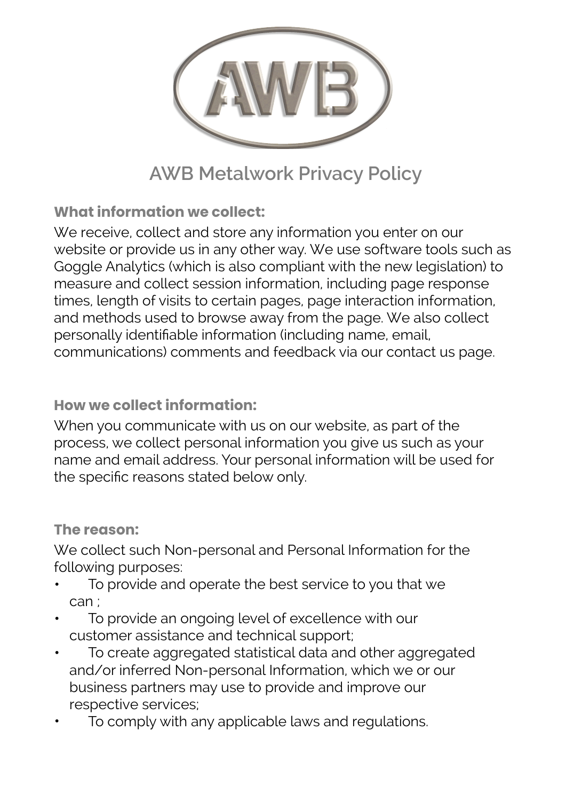

# **AWB Metalwork Privacy Policy**

**What information we collect:**

We receive, collect and store any information you enter on our website or provide us in any other way. We use software tools such as Goggle Analytics (which is also compliant with the new legislation) to measure and collect session information, including page response times, length of visits to certain pages, page interaction information, and methods used to browse away from the page. We also collect personally identifiable information (including name, email, communications) comments and feedback via our contact us page.

## **How we collect information:**

When you communicate with us on our website, as part of the process, we collect personal information you give us such as your name and email address. Your personal information will be used for the specific reasons stated below only.

#### **The reason:**

We collect such Non-personal and Personal Information for the following purposes:

- To provide and operate the best service to you that we can ;
- To provide an ongoing level of excellence with our customer assistance and technical support;
- To create aggregated statistical data and other aggregated and/or inferred Non-personal Information, which we or our business partners may use to provide and improve our respective services;
- To comply with any applicable laws and regulations.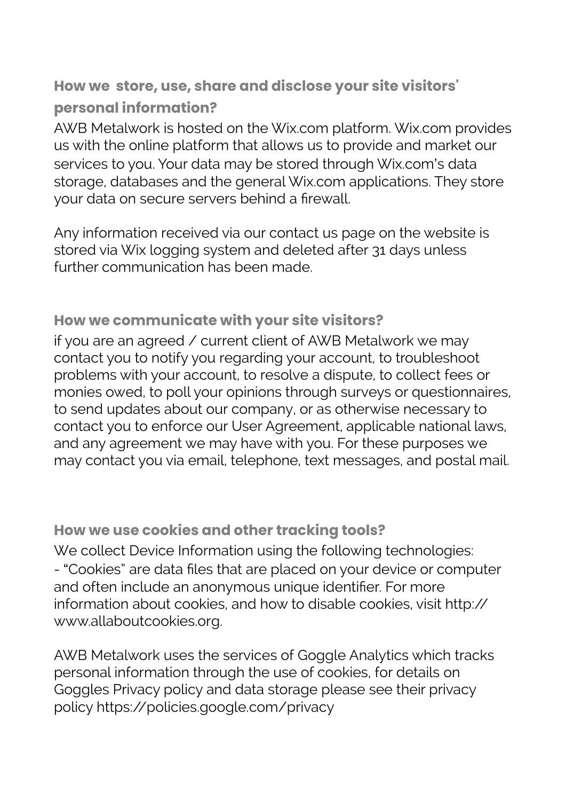**How we store, use, share and disclose your site visitors' personal information?**

AWB Metalwork is hosted on the Wix.com platform. Wix.com provides us with the online platform that allows us to provide and market our services to you. Your data may be stored through Wix.com's data storage, databases and the general Wix.com applications. They store your data on secure servers behind a firewall.

Any information received via our contact us page on the website is stored via Wix logging system and deleted after 31 days unless further communication has been made.

## **How we communicate with your site visitors?**

if you are an agreed / current client of AWB Metalwork we may contact you to notify you regarding your account, to troubleshoot problems with your account, to resolve a dispute, to collect fees or monies owed, to poll your opinions through surveys or questionnaires, to send updates about our company, or as otherwise necessary to contact you to enforce our User Agreement, applicable national laws, and any agreement we may have with you. For these purposes we may contact you via email, telephone, text messages, and postal mail.

#### **How we use cookies and other tracking tools?**

We collect Device Information using the following technologies: - "Cookies" are data files that are placed on your device or computer and often include an anonymous unique identifier. For more information about cookies, and how to disable cookies, visit [http://](https://l.facebook.com/l.php?u=http%253A%252F%252Fwww.allaboutcookies.org%252F&h=ATPCsHh-VtATsVA-acv8c-UQTSNdRXJNs2E4FPhCbZIh0xuIhp2OVWqt0chBmN-ECgnrHa-rscOrf-efaYaRRBnFRl8_1ab6DZTSTj-mfKKbb90uqQn-CFvW) [www.allaboutcookies.org](https://l.facebook.com/l.php?u=http%253A%252F%252Fwww.allaboutcookies.org%252F&h=ATPCsHh-VtATsVA-acv8c-UQTSNdRXJNs2E4FPhCbZIh0xuIhp2OVWqt0chBmN-ECgnrHa-rscOrf-efaYaRRBnFRl8_1ab6DZTSTj-mfKKbb90uqQn-CFvW).

AWB Metalwork uses the services of Goggle Analytics which tracks personal information through the use of cookies, for details on Goggles Privacy policy and data storage please see their privacy policy [https://policies.google.com/privacy](https://l.facebook.com/l.php?u=https%253A%252F%252Fpolicies.google.com%252Fprivacy&h=ATPCsHh-VtATsVA-acv8c-UQTSNdRXJNs2E4FPhCbZIh0xuIhp2OVWqt0chBmN-ECgnrHa-rscOrf-efaYaRRBnFRl8_1ab6DZTSTj-mfKKbb90uqQn-CFvW)